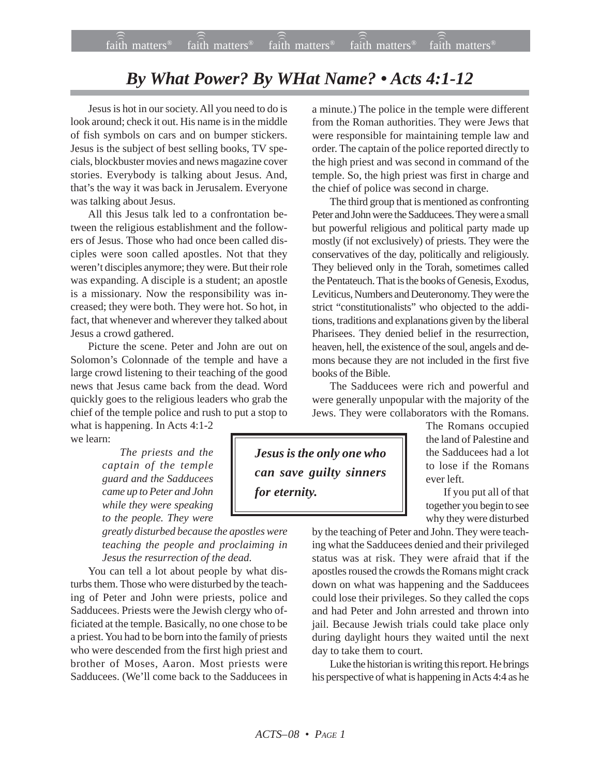## *By What Power? By WHat Name? • Acts 4:1-12*

Jesus is hot in our society. All you need to do is look around; check it out. His name is in the middle of fish symbols on cars and on bumper stickers. Jesus is the subject of best selling books, TV specials, blockbuster movies and news magazine cover stories. Everybody is talking about Jesus. And, that's the way it was back in Jerusalem. Everyone was talking about Jesus.

All this Jesus talk led to a confrontation between the religious establishment and the followers of Jesus. Those who had once been called disciples were soon called apostles. Not that they weren't disciples anymore; they were. But their role was expanding. A disciple is a student; an apostle is a missionary. Now the responsibility was increased; they were both. They were hot. So hot, in fact, that whenever and wherever they talked about Jesus a crowd gathered.

Picture the scene. Peter and John are out on Solomon's Colonnade of the temple and have a large crowd listening to their teaching of the good news that Jesus came back from the dead. Word quickly goes to the religious leaders who grab the chief of the temple police and rush to put a stop to

what is happening. In Acts 4:1-2 we learn:

> *The priests and the captain of the temple guard and the Sadducees came up to Peter and John while they were speaking to the people. They were*

*greatly disturbed because the apostles were teaching the people and proclaiming in Jesus the resurrection of the dead.*

You can tell a lot about people by what disturbs them. Those who were disturbed by the teaching of Peter and John were priests, police and Sadducees. Priests were the Jewish clergy who officiated at the temple. Basically, no one chose to be a priest. You had to be born into the family of priests who were descended from the first high priest and brother of Moses, Aaron. Most priests were Sadducees. (We'll come back to the Sadducees in a minute.) The police in the temple were different from the Roman authorities. They were Jews that were responsible for maintaining temple law and order. The captain of the police reported directly to the high priest and was second in command of the temple. So, the high priest was first in charge and the chief of police was second in charge.

The third group that is mentioned as confronting Peter and John were the Sadducees. They were a small but powerful religious and political party made up mostly (if not exclusively) of priests. They were the conservatives of the day, politically and religiously. They believed only in the Torah, sometimes called the Pentateuch. That is the books of Genesis, Exodus, Leviticus, Numbers and Deuteronomy. They were the strict "constitutionalists" who objected to the additions, traditions and explanations given by the liberal Pharisees. They denied belief in the resurrection, heaven, hell, the existence of the soul, angels and demons because they are not included in the first five books of the Bible.

The Sadducees were rich and powerful and were generally unpopular with the majority of the Jews. They were collaborators with the Romans.

*Jesus is the only one who can save guilty sinners for eternity.*

The Romans occupied the land of Palestine and the Sadducees had a lot to lose if the Romans ever left.

If you put all of that together you begin to see why they were disturbed

by the teaching of Peter and John. They were teaching what the Sadducees denied and their privileged status was at risk. They were afraid that if the apostles roused the crowds the Romans might crack down on what was happening and the Sadducees could lose their privileges. So they called the cops and had Peter and John arrested and thrown into jail. Because Jewish trials could take place only during daylight hours they waited until the next day to take them to court.

Luke the historian is writing this report. He brings his perspective of what is happening in Acts 4:4 as he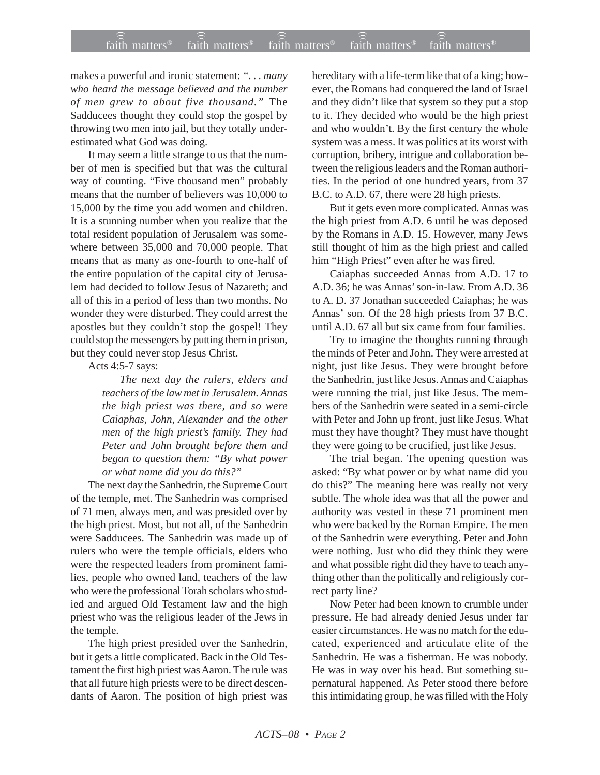makes a powerful and ironic statement: *". . . many who heard the message believed and the number of men grew to about five thousand."* The Sadducees thought they could stop the gospel by throwing two men into jail, but they totally underestimated what God was doing.

It may seem a little strange to us that the number of men is specified but that was the cultural way of counting. "Five thousand men" probably means that the number of believers was 10,000 to 15,000 by the time you add women and children. It is a stunning number when you realize that the total resident population of Jerusalem was somewhere between 35,000 and 70,000 people. That means that as many as one-fourth to one-half of the entire population of the capital city of Jerusalem had decided to follow Jesus of Nazareth; and all of this in a period of less than two months. No wonder they were disturbed. They could arrest the apostles but they couldn't stop the gospel! They could stop the messengers by putting them in prison, but they could never stop Jesus Christ.

Acts 4:5-7 says:

*The next day the rulers, elders and teachers of the law met in Jerusalem. Annas the high priest was there, and so were Caiaphas, John, Alexander and the other men of the high priest's family. They had Peter and John brought before them and began to question them: "By what power or what name did you do this?"*

The next day the Sanhedrin, the Supreme Court of the temple, met. The Sanhedrin was comprised of 71 men, always men, and was presided over by the high priest. Most, but not all, of the Sanhedrin were Sadducees. The Sanhedrin was made up of rulers who were the temple officials, elders who were the respected leaders from prominent families, people who owned land, teachers of the law who were the professional Torah scholars who studied and argued Old Testament law and the high priest who was the religious leader of the Jews in the temple.

The high priest presided over the Sanhedrin, but it gets a little complicated. Back in the Old Testament the first high priest was Aaron. The rule was that all future high priests were to be direct descendants of Aaron. The position of high priest was hereditary with a life-term like that of a king; however, the Romans had conquered the land of Israel and they didn't like that system so they put a stop to it. They decided who would be the high priest and who wouldn't. By the first century the whole system was a mess. It was politics at its worst with corruption, bribery, intrigue and collaboration between the religious leaders and the Roman authorities. In the period of one hundred years, from 37 B.C. to A.D. 67, there were 28 high priests.

But it gets even more complicated. Annas was the high priest from A.D. 6 until he was deposed by the Romans in A.D. 15. However, many Jews still thought of him as the high priest and called him "High Priest" even after he was fired.

Caiaphas succeeded Annas from A.D. 17 to A.D. 36; he was Annas' son-in-law. From A.D. 36 to A. D. 37 Jonathan succeeded Caiaphas; he was Annas' son. Of the 28 high priests from 37 B.C. until A.D. 67 all but six came from four families.

Try to imagine the thoughts running through the minds of Peter and John. They were arrested at night, just like Jesus. They were brought before the Sanhedrin, just like Jesus. Annas and Caiaphas were running the trial, just like Jesus. The members of the Sanhedrin were seated in a semi-circle with Peter and John up front, just like Jesus. What must they have thought? They must have thought they were going to be crucified, just like Jesus.

The trial began. The opening question was asked: "By what power or by what name did you do this?" The meaning here was really not very subtle. The whole idea was that all the power and authority was vested in these 71 prominent men who were backed by the Roman Empire. The men of the Sanhedrin were everything. Peter and John were nothing. Just who did they think they were and what possible right did they have to teach anything other than the politically and religiously correct party line?

Now Peter had been known to crumble under pressure. He had already denied Jesus under far easier circumstances. He was no match for the educated, experienced and articulate elite of the Sanhedrin. He was a fisherman. He was nobody. He was in way over his head. But something supernatural happened. As Peter stood there before this intimidating group, he was filled with the Holy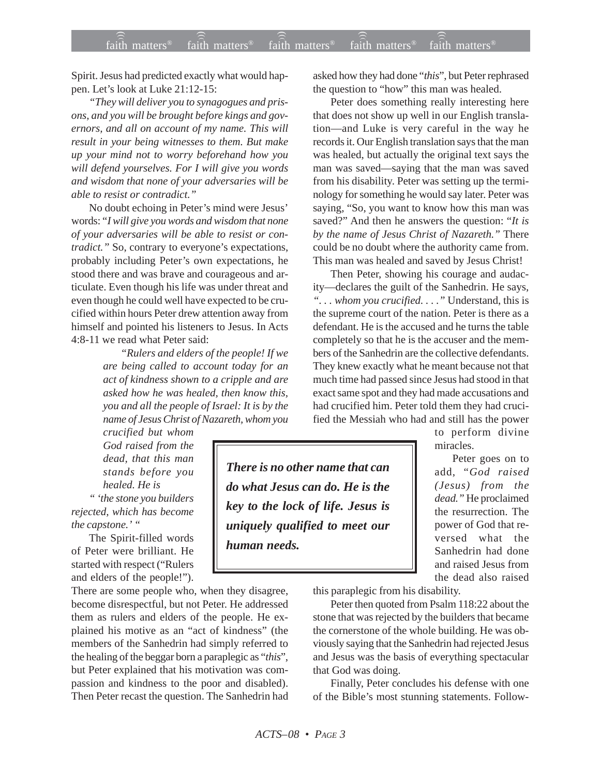Spirit. Jesus had predicted exactly what would happen. Let's look at Luke 21:12-15:

*"They will deliver you to synagogues and prisons, and you will be brought before kings and governors, and all on account of my name. This will result in your being witnesses to them. But make up your mind not to worry beforehand how you will defend yourselves. For I will give you words and wisdom that none of your adversaries will be able to resist or contradict."*

No doubt echoing in Peter's mind were Jesus' words: "*I will give you words and wisdom that none of your adversaries will be able to resist or contradict.*" So, contrary to everyone's expectations, probably including Peter's own expectations, he stood there and was brave and courageous and articulate. Even though his life was under threat and even though he could well have expected to be crucified within hours Peter drew attention away from himself and pointed his listeners to Jesus. In Acts 4:8-11 we read what Peter said:

> *"Rulers and elders of the people! If we are being called to account today for an act of kindness shown to a cripple and are asked how he was healed, then know this, you and all the people of Israel: It is by the name of Jesus Christ of Nazareth, whom you*

*crucified but whom God raised from the dead, that this man stands before you healed. He is*

*" 'the stone you builders rejected, which has become the capstone.' "*

The Spirit-filled words of Peter were brilliant. He started with respect ("Rulers and elders of the people!").

There are some people who, when they disagree, become disrespectful, but not Peter. He addressed them as rulers and elders of the people. He explained his motive as an "act of kindness" (the members of the Sanhedrin had simply referred to the healing of the beggar born a paraplegic as "*this*", but Peter explained that his motivation was compassion and kindness to the poor and disabled). Then Peter recast the question. The Sanhedrin had

asked how they had done "*this*", but Peter rephrased the question to "how" this man was healed.

Peter does something really interesting here that does not show up well in our English translation—and Luke is very careful in the way he records it. Our English translation says that the man was healed, but actually the original text says the man was saved—saying that the man was saved from his disability. Peter was setting up the terminology for something he would say later. Peter was saying, "So, you want to know how this man was saved?" And then he answers the question: "*It is by the name of Jesus Christ of Nazareth."* There could be no doubt where the authority came from. This man was healed and saved by Jesus Christ!

Then Peter, showing his courage and audacity—declares the guilt of the Sanhedrin. He says, *". . . whom you crucified. . . ."* Understand, this is the supreme court of the nation. Peter is there as a defendant. He is the accused and he turns the table completely so that he is the accuser and the members of the Sanhedrin are the collective defendants. They knew exactly what he meant because not that much time had passed since Jesus had stood in that exact same spot and they had made accusations and had crucified him. Peter told them they had crucified the Messiah who had and still has the power

> to perform divine miracles.

> Peter goes on to add, "*God raised (Jesus) from the dead."* He proclaimed the resurrection. The power of God that reversed what the Sanhedrin had done and raised Jesus from the dead also raised

*There is no other name that can do what Jesus can do. He is the key to the lock of life. Jesus is uniquely qualified to meet our human needs.*

this paraplegic from his disability.

Peter then quoted from Psalm 118:22 about the stone that was rejected by the builders that became the cornerstone of the whole building. He was obviously saying that the Sanhedrin had rejected Jesus and Jesus was the basis of everything spectacular that God was doing.

Finally, Peter concludes his defense with one of the Bible's most stunning statements. Follow-